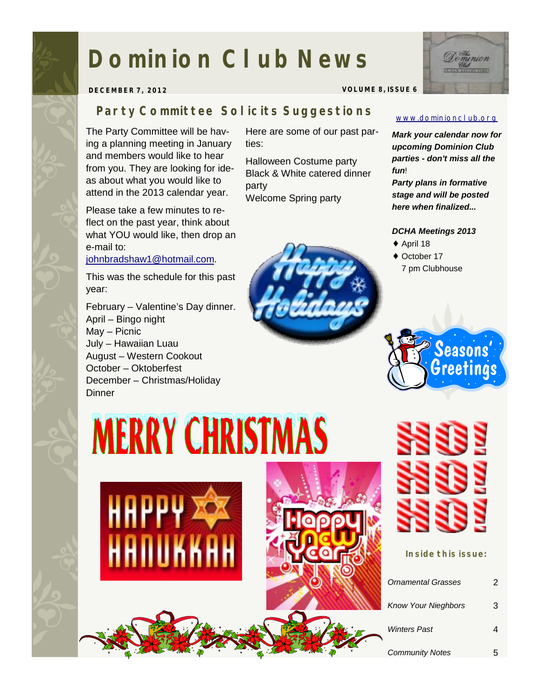### **Dominion Club News**



**DECEMBER 7, 2012 VOLUME 8, ISSUE 6** 

#### *Party Committee Solicits Suggestions*

The Party Committee will be having a planning meeting in January and members would like to hear from you. They are looking for ideas about what you would like to attend in the 2013 calendar year.

Please take a few minutes to reflect on the past year, think about what YOU would like, then drop an e-mail to:

[johnbradshaw1@hotmail.com](mailto:johnbradshaw1@hotmail.com).

This was the schedule for this past year:

February – Valentine's Day dinner. April – Bingo night May – Picnic July – Hawaiian Luau August – Western Cookout October – Oktoberfest December – Christmas/Holiday **Dinner** 

Here are some of our past parties:

Halloween Costume party Black & White catered dinner party Welcome Spring party



[www.dominionclub.org](http://www.dominionclub.org)

*Mark your calendar now for upcoming Dominion Club parties - don't miss all the fun*!

*Party plans in formative stage and will be posted here when finalized...* 

#### *DCHA Meetings 2013*

- ♦ April 18
- ◆ October 17 7 pm Clubhouse



## **MERRY CHRISTMAS**





**Inside this issue:** 

| Ornamental Grasses         | 2 |
|----------------------------|---|
| <b>Know Your Nieghbors</b> | 3 |
| <b>Winters Past</b>        |   |
| <b>Community Notes</b>     |   |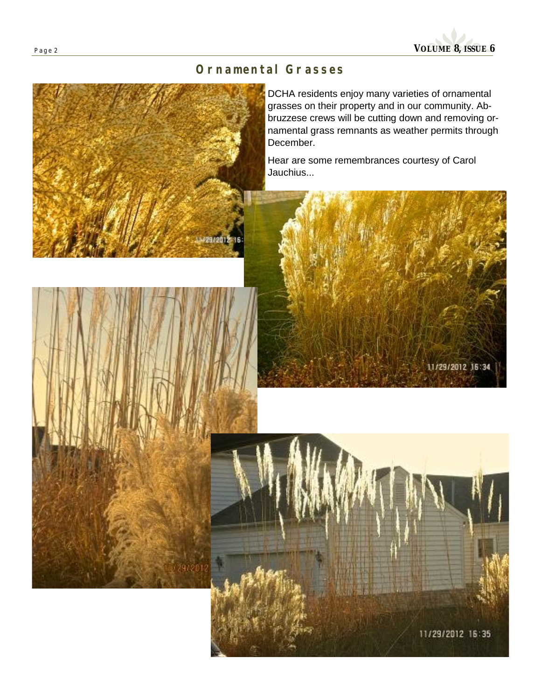

#### *Ornamental Grasses*

DCHA residents enjoy many varieties of ornamental grasses on their property and in our community. Abbruzzese crews will be cutting down and removing ornamental grass remnants as weather permits through December.

Hear are some remembrances courtesy of Carol Jauchius...



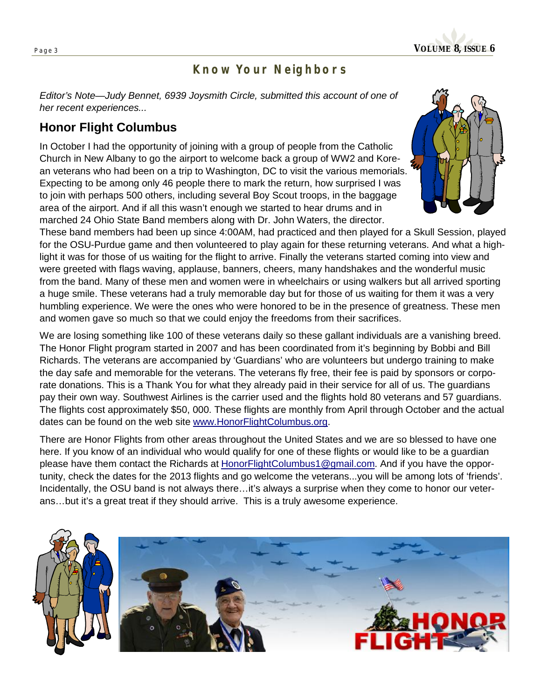

#### *Know Your Neighbors*

*Editor's Note—Judy Bennet, 6939 Joysmith Circle, submitted this account of one of her recent experiences...* 

#### **Honor Flight Columbus**

In October I had the opportunity of joining with a group of people from the Catholic Church in New Albany to go the airport to welcome back a group of WW2 and Korean veterans who had been on a trip to Washington, DC to visit the various memorials. Expecting to be among only 46 people there to mark the return, how surprised I was to join with perhaps 500 others, including several Boy Scout troops, in the baggage area of the airport. And if all this wasn't enough we started to hear drums and in marched 24 Ohio State Band members along with Dr. John Waters, the director.



These band members had been up since 4:00AM, had practiced and then played for a Skull Session, played for the OSU-Purdue game and then volunteered to play again for these returning veterans. And what a highlight it was for those of us waiting for the flight to arrive. Finally the veterans started coming into view and were greeted with flags waving, applause, banners, cheers, many handshakes and the wonderful music from the band. Many of these men and women were in wheelchairs or using walkers but all arrived sporting a huge smile. These veterans had a truly memorable day but for those of us waiting for them it was a very humbling experience. We were the ones who were honored to be in the presence of greatness. These men and women gave so much so that we could enjoy the freedoms from their sacrifices.

We are losing something like 100 of these veterans daily so these gallant individuals are a vanishing breed. The Honor Flight program started in 2007 and has been coordinated from it's beginning by Bobbi and Bill Richards. The veterans are accompanied by 'Guardians' who are volunteers but undergo training to make the day safe and memorable for the veterans. The veterans fly free, their fee is paid by sponsors or corporate donations. This is a Thank You for what they already paid in their service for all of us. The guardians pay their own way. Southwest Airlines is the carrier used and the flights hold 80 veterans and 57 guardians. The flights cost approximately \$50, 000. These flights are monthly from April through October and the actual dates can be found on the web site [www.HonorFlightColumbus.org.](http://www.HonorFlightColumbus.org)

There are Honor Flights from other areas throughout the United States and we are so blessed to have one here. If you know of an individual who would qualify for one of these flights or would like to be a guardian please have them contact the Richards at [HonorFlightColumbus1@gmail.com](mailto:HonorFlightColumbus1@gmail.com). And if you have the opportunity, check the dates for the 2013 flights and go welcome the veterans...you will be among lots of 'friends'. Incidentally, the OSU band is not always there...it's always a surprise when they come to honor our veterans…but it's a great treat if they should arrive. This is a truly awesome experience.

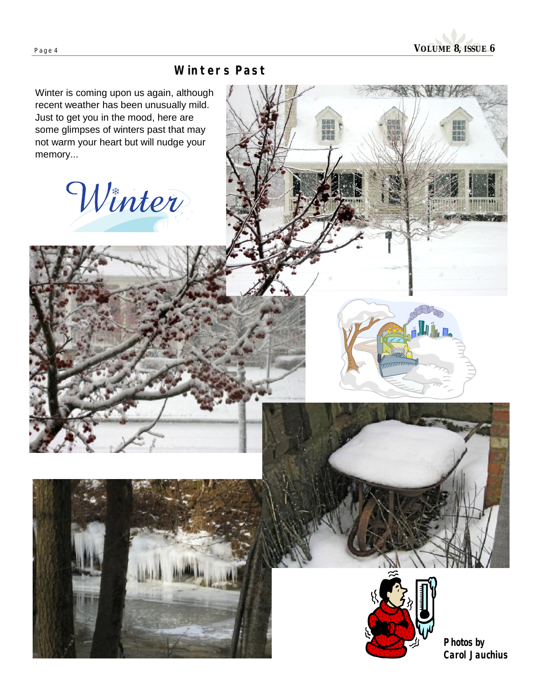

#### *Winters Past*

Winter is coming upon us again, although recent weather has been unusually mild. Just to get you in the mood, here are some glimpses of winters past that may not warm your heart but will nudge your memory...

Winter







**Photos by Carol Jauchius**